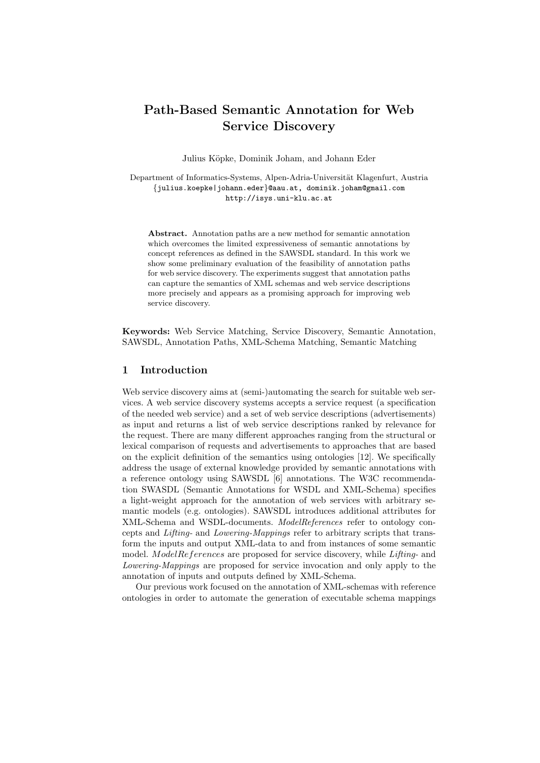# **Path-Based Semantic Annotation for Web Service Discovery**

Julius K¨opke, Dominik Joham, and Johann Eder

Department of Informatics-Systems, Alpen-Adria-Universität Klagenfurt, Austria *{*julius.koepke|johann.eder*}*@aau.at, dominik.joham@gmail.com http://isys.uni-klu.ac.at

**Abstract.** Annotation paths are a new method for semantic annotation which overcomes the limited expressiveness of semantic annotations by concept references as defined in the SAWSDL standard. In this work we show some preliminary evaluation of the feasibility of annotation paths for web service discovery. The experiments suggest that annotation paths can capture the semantics of XML schemas and web service descriptions more precisely and appears as a promising approach for improving web service discovery.

**Keywords:** Web Service Matching, Service Discovery, Semantic Annotation, SAWSDL, Annotation Paths, XML-Schema Matching, Semantic Matching

## **1 Introduction**

Web service discovery aims at (semi-)automating the search for suitable web services. A web service discovery systems accepts a service request (a specification of the needed web service) and a set of web service descriptions (advertisements) as input and returns a list of web service descriptions ranked by relevance for the request. There are many different approaches ranging from the structural or lexical comparison of requests and advertisements to approaches that are based on the explicit definition of the semantics using ontologies [12]. We specifically address the usage of external knowledge provided by semantic annotations with a reference ontology using SAWSDL [6] annotations. The W3C recommendation SWASDL (Semantic Annotations for WSDL and XML-Schema) specifies a light-weight approach for the annotation of web services with arbitrary semantic models (e.g. ontologies). SAWSDL introduces additional attributes for XML-Schema and WSDL-documents. *ModelReferences* refer to ontology concepts and *Lifting-* and *Lowering-Mappings* refer to arbitrary scripts that transform the inputs and output XML-data to and from instances of some semantic model. *ModelReferences* are proposed for service discovery, while *Lifting-* and *Lowering-Mappings* are proposed for service invocation and only apply to the annotation of inputs and outputs defined by XML-Schema.

Our previous work focused on the annotation of XML-schemas with reference ontologies in order to automate the generation of executable schema mappings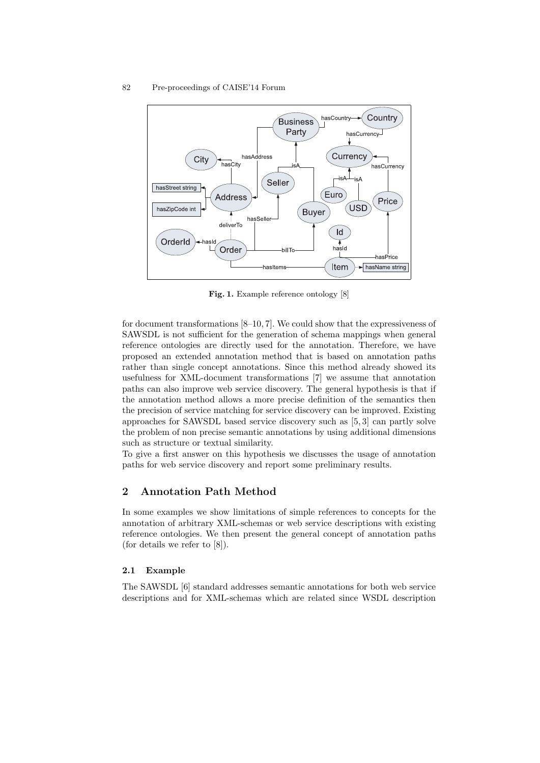

**Fig. 1.** Example reference ontology [8]

for document transformations [8–10, 7]. We could show that the expressiveness of SAWSDL is not sufficient for the generation of schema mappings when general reference ontologies are directly used for the annotation. Therefore, we have proposed an extended annotation method that is based on annotation paths rather than single concept annotations. Since this method already showed its usefulness for XML-document transformations [7] we assume that annotation paths can also improve web service discovery. The general hypothesis is that if the annotation method allows a more precise definition of the semantics then the precision of service matching for service discovery can be improved. Existing approaches for SAWSDL based service discovery such as [5, 3] can partly solve the problem of non precise semantic annotations by using additional dimensions such as structure or textual similarity.

To give a first answer on this hypothesis we discusses the usage of annotation paths for web service discovery and report some preliminary results.

# **2 Annotation Path Method**

In some examples we show limitations of simple references to concepts for the annotation of arbitrary XML-schemas or web service descriptions with existing reference ontologies. We then present the general concept of annotation paths (for details we refer to [8]).

#### **2.1 Example**

The SAWSDL [6] standard addresses semantic annotations for both web service descriptions and for XML-schemas which are related since WSDL description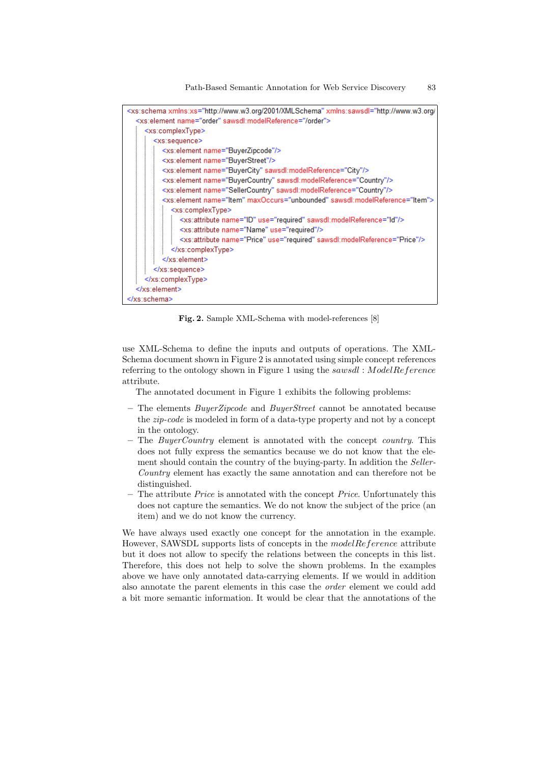Path-Based Semantic Annotation for Web Service Discovery 83



**Fig. 2.** Sample XML-Schema with model-references [8]

use XML-Schema to define the inputs and outputs of operations. The XML-Schema document shown in Figure 2 is annotated using simple concept references referring to the ontology shown in Figure 1 using the *sawsdl* : *ModelReference* attribute.

The annotated document in Figure 1 exhibits the following problems:

- **–** The elements *BuyerZipcode* and *BuyerStreet* cannot be annotated because the *zip-code* is modeled in form of a data-type property and not by a concept in the ontology.
- **–** The *BuyerCountry* element is annotated with the concept *country*. This does not fully express the semantics because we do not know that the element should contain the country of the buying-party. In addition the *Seller-Country* element has exactly the same annotation and can therefore not be distinguished.
- **–** The attribute *Price* is annotated with the concept *Price*. Unfortunately this does not capture the semantics. We do not know the subject of the price (an item) and we do not know the currency.

We have always used exactly one concept for the annotation in the example. However, SAWSDL supports lists of concepts in the *modelReference* attribute but it does not allow to specify the relations between the concepts in this list. Therefore, this does not help to solve the shown problems. In the examples above we have only annotated data-carrying elements. If we would in addition also annotate the parent elements in this case the *order* element we could add a bit more semantic information. It would be clear that the annotations of the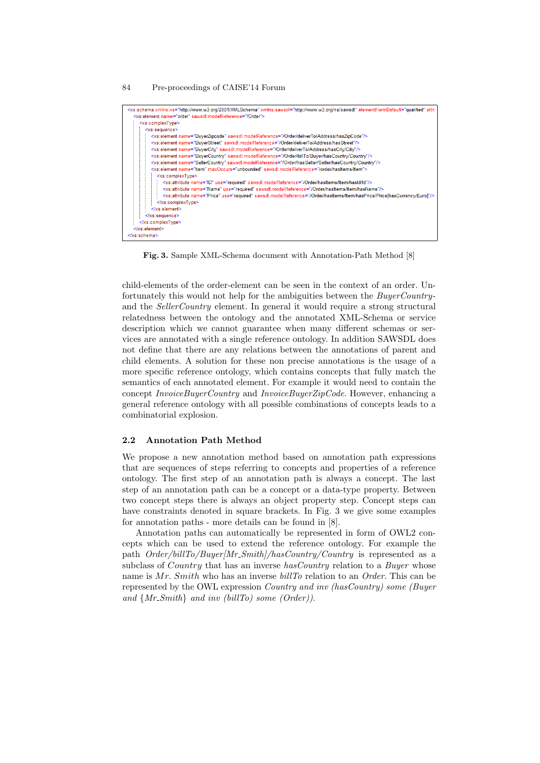| <xs:schema attril<br="" elementformdefault="qualified" xmlns:sawsdl="http://www.w3.org/ns/sawsdl" xmlns:xs="http://www.w3.org/2001/XMLSchema"><xs:element_name="order"_sawsdl:modelreference=" order"=""></xs:element_name="order"_sawsdl:modelreference="></xs:schema> |
|-------------------------------------------------------------------------------------------------------------------------------------------------------------------------------------------------------------------------------------------------------------------------|
| <xs:complextype></xs:complextype>                                                                                                                                                                                                                                       |
| <xs:sequence></xs:sequence>                                                                                                                                                                                                                                             |
| <xs:element name="BuyerZipcode" sawsdl:modelreference="/Order/deliverTo/Address/hasZipCode"></xs:element>                                                                                                                                                               |
| <xs:element name="BuyerStreet" sawsdl:modelreference="/Order/deliverTo/Address/hasStreet"></xs:element>                                                                                                                                                                 |
| <xs:element name="BuyerCity" sawsdl:modelreference="/Order/deliverTo/Address/hasCity/City"></xs:element>                                                                                                                                                                |
| <xs:element name="BuyerCountry" sawsdl:modelreference="/Order/billTo/Buyer/hasCountry/Country"></xs:element>                                                                                                                                                            |
| <xs:element name="SellerCountry" sawsdl:modelreference="/Order/hasSeller/Seller/hasCountry/Country"></xs:element>                                                                                                                                                       |
| <xs:element maxoccurs="unbounded" name="ltem" sawsdl:modelreference="/order/hasitems/item"></xs:element>                                                                                                                                                                |
| <xs:complextype></xs:complextype>                                                                                                                                                                                                                                       |
| <xs:attribute name="ID" sawsdl:modelreference="/Order/hasItems/Item/hasId/Id" use="required"></xs:attribute>                                                                                                                                                            |
| <xs:attribute name="Name" sawsdl:modelreference="/Order/hasItems/Item/hasName" use="required"></xs:attribute>                                                                                                                                                           |
| <xs:attribute name="Price" sawsdl:modelreference="/Order/hasItems/ltem/hasPrice/Price[hasCurrency/Euro]" use="required"></xs:attribute>                                                                                                                                 |
|                                                                                                                                                                                                                                                                         |
|                                                                                                                                                                                                                                                                         |
|                                                                                                                                                                                                                                                                         |
|                                                                                                                                                                                                                                                                         |
|                                                                                                                                                                                                                                                                         |
|                                                                                                                                                                                                                                                                         |

**Fig. 3.** Sample XML-Schema document with Annotation-Path Method [8]

child-elements of the order-element can be seen in the context of an order. Unfortunately this would not help for the ambiguities between the *BuyerCountry*and the *SellerCountry* element. In general it would require a strong structural relatedness between the ontology and the annotated XML-Schema or service description which we cannot guarantee when many different schemas or services are annotated with a single reference ontology. In addition SAWSDL does not define that there are any relations between the annotations of parent and child elements. A solution for these non precise annotations is the usage of a more specific reference ontology, which contains concepts that fully match the semantics of each annotated element. For example it would need to contain the concept *InvoiceBuyerCountry* and *InvoiceBuyerZipCode*. However, enhancing a general reference ontology with all possible combinations of concepts leads to a combinatorial explosion.

## **2.2 Annotation Path Method**

We propose a new annotation method based on annotation path expressions that are sequences of steps referring to concepts and properties of a reference ontology. The first step of an annotation path is always a concept. The last step of an annotation path can be a concept or a data-type property. Between two concept steps there is always an object property step. Concept steps can have constraints denoted in square brackets. In Fig. 3 we give some examples for annotation paths - more details can be found in [8].

Annotation paths can automatically be represented in form of OWL2 concepts which can be used to extend the reference ontology. For example the path *Order/billTo/Buyer[Mr Smith]/hasCountry/Country* is represented as a subclass of *Country* that has an inverse *hasCountry* relation to a *Buyer* whose name is *Mr. Smith* who has an inverse *billTo* relation to an *Order*. This can be represented by the OWL expression *Country and inv (hasCountry) some (Buyer and {Mr Smith} and inv (billTo) some (Order))*.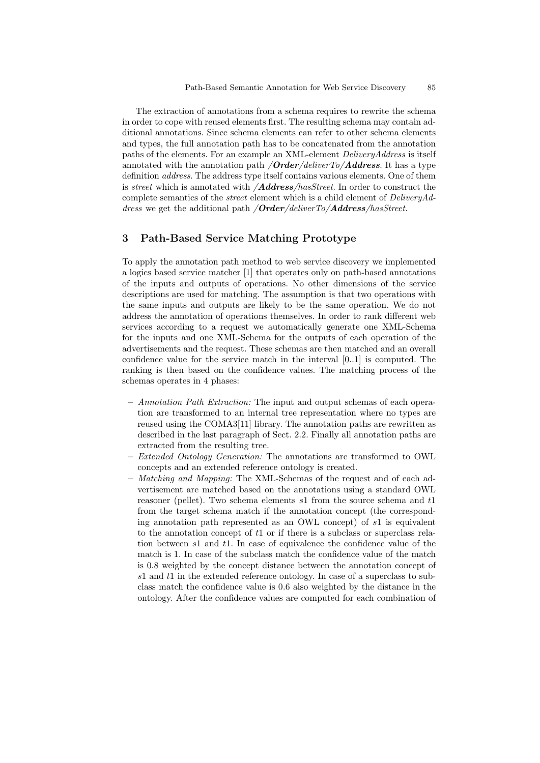The extraction of annotations from a schema requires to rewrite the schema in order to cope with reused elements first. The resulting schema may contain additional annotations. Since schema elements can refer to other schema elements and types, the full annotation path has to be concatenated from the annotation paths of the elements. For an example an XML-element *DeliveryAddress* is itself annotated with the annotation path */Order/deliverTo/Address*. It has a type definition *address*. The address type itself contains various elements. One of them is *street* which is annotated with */Address/hasStreet*. In order to construct the complete semantics of the *street* element which is a child element of *DeliveryAddress* we get the additional path */Order/deliverTo/Address/hasStreet*.

## **3 Path-Based Service Matching Prototype**

To apply the annotation path method to web service discovery we implemented a logics based service matcher [1] that operates only on path-based annotations of the inputs and outputs of operations. No other dimensions of the service descriptions are used for matching. The assumption is that two operations with the same inputs and outputs are likely to be the same operation. We do not address the annotation of operations themselves. In order to rank different web services according to a request we automatically generate one XML-Schema for the inputs and one XML-Schema for the outputs of each operation of the advertisements and the request. These schemas are then matched and an overall confidence value for the service match in the interval [0..1] is computed. The ranking is then based on the confidence values. The matching process of the schemas operates in 4 phases:

- **–** *Annotation Path Extraction:* The input and output schemas of each operation are transformed to an internal tree representation where no types are reused using the COMA3[11] library. The annotation paths are rewritten as described in the last paragraph of Sect. 2.2. Finally all annotation paths are extracted from the resulting tree.
- **–** *Extended Ontology Generation:* The annotations are transformed to OWL concepts and an extended reference ontology is created.
- **–** *Matching and Mapping:* The XML-Schemas of the request and of each advertisement are matched based on the annotations using a standard OWL reasoner (pellet). Two schema elements *s*1 from the source schema and *t*1 from the target schema match if the annotation concept (the corresponding annotation path represented as an OWL concept) of *s*1 is equivalent to the annotation concept of *t*1 or if there is a subclass or superclass relation between *s*1 and *t*1. In case of equivalence the confidence value of the match is 1. In case of the subclass match the confidence value of the match is 0*.*8 weighted by the concept distance between the annotation concept of *s*1 and *t*1 in the extended reference ontology. In case of a superclass to subclass match the confidence value is 0*.*6 also weighted by the distance in the ontology. After the confidence values are computed for each combination of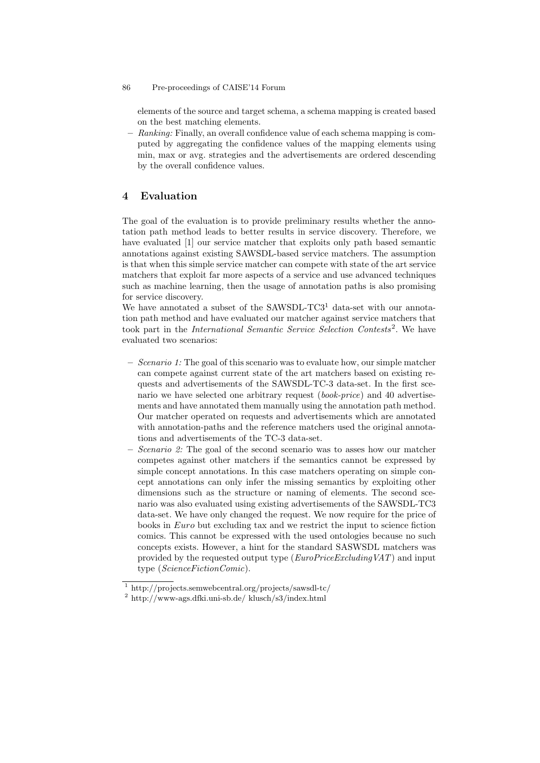elements of the source and target schema, a schema mapping is created based on the best matching elements.

**–** *Ranking:* Finally, an overall confidence value of each schema mapping is computed by aggregating the confidence values of the mapping elements using min, max or avg. strategies and the advertisements are ordered descending by the overall confidence values.

# **4 Evaluation**

The goal of the evaluation is to provide preliminary results whether the annotation path method leads to better results in service discovery. Therefore, we have evaluated [1] our service matcher that exploits only path based semantic annotations against existing SAWSDL-based service matchers. The assumption is that when this simple service matcher can compete with state of the art service matchers that exploit far more aspects of a service and use advanced techniques such as machine learning, then the usage of annotation paths is also promising for service discovery.

We have annotated a subset of the SAWSDL-TC3<sup>1</sup> data-set with our annotation path method and have evaluated our matcher against service matchers that took part in the *International Semantic Service Selection Contests*<sup>2</sup> . We have evaluated two scenarios:

- **–** *Scenario 1:* The goal of this scenario was to evaluate how, our simple matcher can compete against current state of the art matchers based on existing requests and advertisements of the SAWSDL-TC-3 data-set. In the first scenario we have selected one arbitrary request (*book-price*) and 40 advertisements and have annotated them manually using the annotation path method. Our matcher operated on requests and advertisements which are annotated with annotation-paths and the reference matchers used the original annotations and advertisements of the TC-3 data-set.
- **–** *Scenario 2:* The goal of the second scenario was to asses how our matcher competes against other matchers if the semantics cannot be expressed by simple concept annotations. In this case matchers operating on simple concept annotations can only infer the missing semantics by exploiting other dimensions such as the structure or naming of elements. The second scenario was also evaluated using existing advertisements of the SAWSDL-TC3 data-set. We have only changed the request. We now require for the price of books in *Euro* but excluding tax and we restrict the input to science fiction comics. This cannot be expressed with the used ontologies because no such concepts exists. However, a hint for the standard SASWSDL matchers was provided by the requested output type (*EuroPriceExcludingVAT*) and input type (*ScienceFictionComic*).

<sup>1</sup> http://projects.semwebcentral.org/projects/sawsdl-tc/

<sup>2</sup> http://www-ags.dfki.uni-sb.de/ klusch/s3/index.html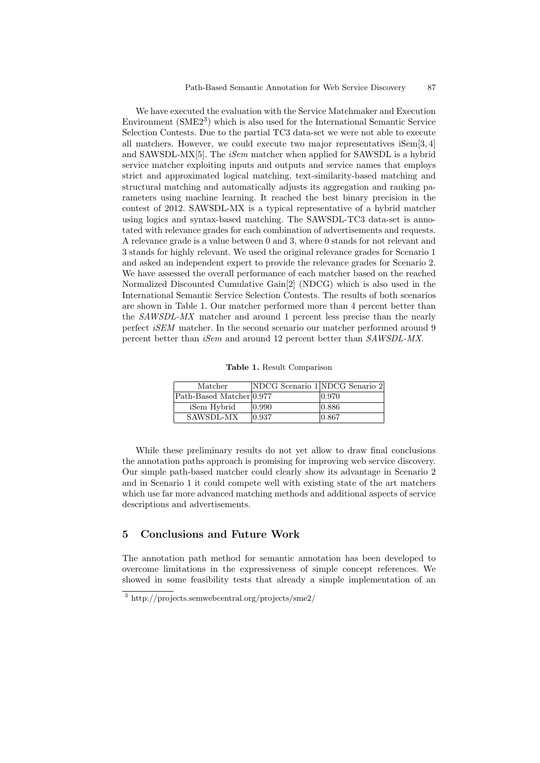We have executed the evaluation with the Service Matchmaker and Execution Environment (SME2<sup>3</sup>) which is also used for the International Semantic Service Selection Contests. Due to the partial TC3 data-set we were not able to execute all matchers. However, we could execute two major representatives iSem[3, 4] and SAWSDL-MX[5]. The *iSem* matcher when applied for SAWSDL is a hybrid service matcher exploiting inputs and outputs and service names that employs strict and approximated logical matching, text-similarity-based matching and structural matching and automatically adjusts its aggregation and ranking parameters using machine learning. It reached the best binary precision in the contest of 2012. SAWSDL-MX is a typical representative of a hybrid matcher using logics and syntax-based matching. The SAWSDL-TC3 data-set is annotated with relevance grades for each combination of advertisements and requests. A relevance grade is a value between 0 and 3, where 0 stands for not relevant and 3 stands for highly relevant. We used the original relevance grades for Scenario 1 and asked an independent expert to provide the relevance grades for Scenario 2. We have assessed the overall performance of each matcher based on the reached Normalized Discounted Cumulative Gain[2] (NDCG) which is also used in the International Semantic Service Selection Contests. The results of both scenarios are shown in Table 1. Our matcher performed more than 4 percent better than the *SAWSDL-MX* matcher and around 1 percent less precise than the nearly perfect *iSEM* matcher. In the second scenario our matcher performed around 9 percent better than *iSem* and around 12 percent better than *SAWSDL-MX*.

**Table 1.** Result Comparison

| Matcher                  | NDCG Scenario 1 NDCG Senario 2 |       |
|--------------------------|--------------------------------|-------|
| Path-Based Matcher 0.977 |                                | 0.970 |
| iSem Hybrid              | 10.990                         | 0.886 |
| SAWSDL-MX                | $\vert 0.937 \vert$            | 0.867 |

While these preliminary results do not yet allow to draw final conclusions the annotation paths approach is promising for improving web service discovery. Our simple path-based matcher could clearly show its advantage in Scenario 2 and in Scenario 1 it could compete well with existing state of the art matchers which use far more advanced matching methods and additional aspects of service descriptions and advertisements.

# **5 Conclusions and Future Work**

The annotation path method for semantic annotation has been developed to overcome limitations in the expressiveness of simple concept references. We showed in some feasibility tests that already a simple implementation of an

<sup>3</sup> http://projects.semwebcentral.org/projects/sme2/